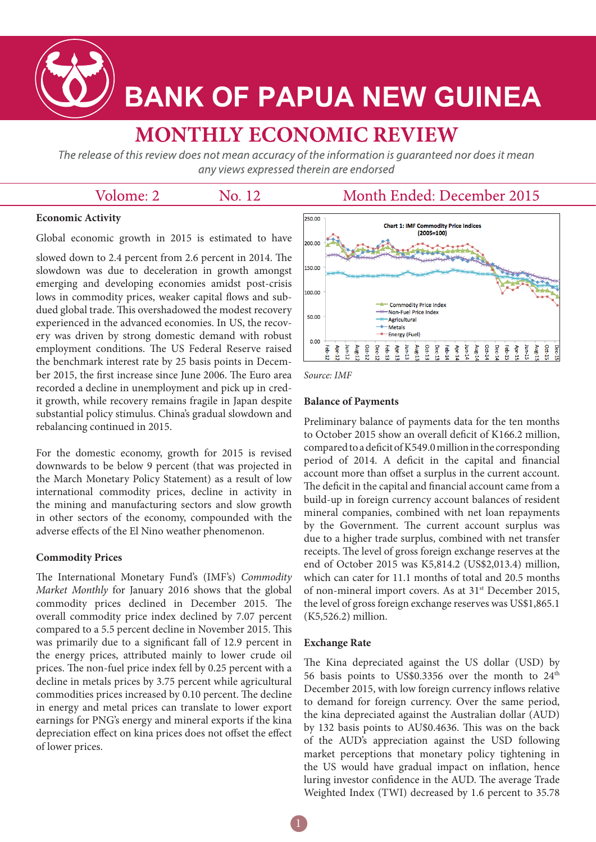

# **BANK OF PAPUA NEW GUINEA**

## **MONTHLY ECONOMIC REVIEW**

The release of this review does not mean accuracy of the information is guaranteed nor does it mean any views expressed therein are endorsed

| Month Ended: December 2015<br>Volome: 2<br>No. 12 |
|---------------------------------------------------|
|---------------------------------------------------|

#### **Economic Activity**

Global economic growth in 2015 is estimated to have

slowed down to 2.4 percent from 2.6 percent in 2014. The slowdown was due to deceleration in growth amongst emerging and developing economies amidst post-crisis lows in commodity prices, weaker capital flows and subdued global trade. This overshadowed the modest recovery experienced in the advanced economies. In US, the recovery was driven by strong domestic demand with robust employment conditions. The US Federal Reserve raised the benchmark interest rate by 25 basis points in December 2015, the first increase since June 2006. The Euro area recorded a decline in unemployment and pick up in credit growth, while recovery remains fragile in Japan despite substantial policy stimulus. China's gradual slowdown and rebalancing continued in 2015.

For the domestic economy, growth for 2015 is revised downwards to be below 9 percent (that was projected in the March Monetary Policy Statement) as a result of low international commodity prices, decline in activity in the mining and manufacturing sectors and slow growth in other sectors of the economy, compounded with the adverse effects of the El Nino weather phenomenon.

#### **Commodity Prices**

The International Monetary Fund's (IMF's) *Commodity Market Monthly* for January 2016 shows that the global commodity prices declined in December 2015. The overall commodity price index declined by 7.07 percent compared to a 5.5 percent decline in November 2015. This was primarily due to a significant fall of 12.9 percent in the energy prices, attributed mainly to lower crude oil prices. The non-fuel price index fell by 0.25 percent with a decline in metals prices by 3.75 percent while agricultural commodities prices increased by 0.10 percent. The decline in energy and metal prices can translate to lower export earnings for PNG's energy and mineral exports if the kina depreciation effect on kina prices does not offset the effect of lower prices.



*Source: IMF*

#### **Balance of Payments**

Preliminary balance of payments data for the ten months to October 2015 show an overall deficit of K166.2 million, compared to a deficit of K549.0 million in the corresponding period of 2014. A deficit in the capital and financial account more than offset a surplus in the current account. The deficit in the capital and financial account came from a build-up in foreign currency account balances of resident mineral companies, combined with net loan repayments by the Government. The current account surplus was due to a higher trade surplus, combined with net transfer receipts. The level of gross foreign exchange reserves at the end of October 2015 was K5,814.2 (US\$2,013.4) million, which can cater for 11.1 months of total and 20.5 months of non-mineral import covers. As at 31st December 2015, the level of gross foreign exchange reserves was US\$1,865.1 (K5,526.2) million.

#### **Exchange Rate**

The Kina depreciated against the US dollar (USD) by 56 basis points to US\$0.3356 over the month to  $24<sup>th</sup>$ December 2015, with low foreign currency inflows relative to demand for foreign currency. Over the same period, the kina depreciated against the Australian dollar (AUD) by 132 basis points to AU\$0.4636. This was on the back of the AUD's appreciation against the USD following market perceptions that monetary policy tightening in the US would have gradual impact on inflation, hence luring investor confidence in the AUD. The average Trade Weighted Index (TWI) decreased by 1.6 percent to 35.78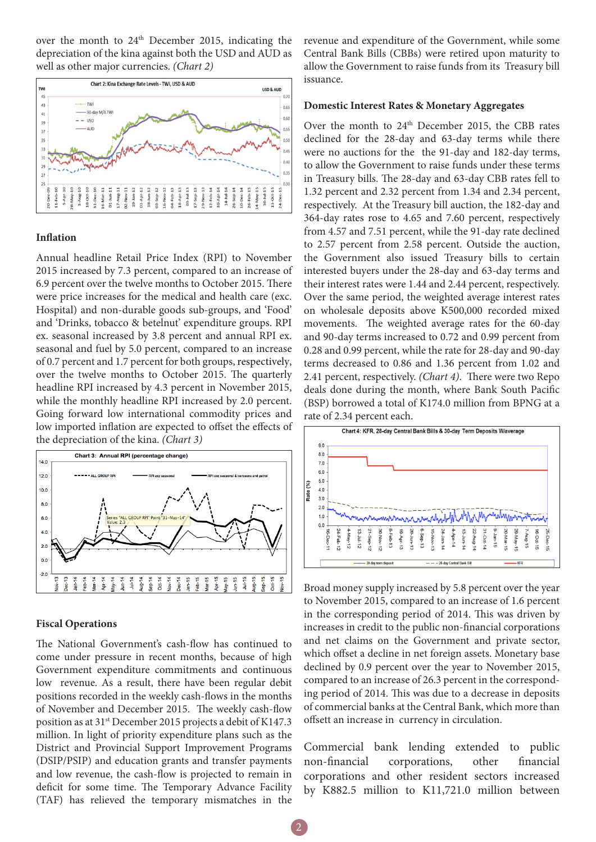over the month to 24<sup>th</sup> December 2015, indicating the depreciation of the kina against both the USD and AUD as well as other major currencies. *(Chart 2)*



#### **Inflation**

Annual headline Retail Price Index (RPI) to November 2015 increased by 7.3 percent, compared to an increase of 6.9 percent over the twelve months to October 2015. There were price increases for the medical and health care (exc. Hospital) and non-durable goods sub-groups, and 'Food' and 'Drinks, tobacco & betelnut' expenditure groups. RPI ex. seasonal increased by 3.8 percent and annual RPI ex. seasonal and fuel by 5.0 percent, compared to an increase of 0.7 percent and 1.7 percent for both groups, respectively, over the twelve months to October 2015. The quarterly headline RPI increased by 4.3 percent in November 2015, while the monthly headline RPI increased by 2.0 percent. Going forward low international commodity prices and low imported inflation are expected to offset the effects of the depreciation of the kina. *(Chart 3)*



#### **Fiscal Operations**

The National Government's cash-flow has continued to come under pressure in recent months, because of high Government expenditure commitments and continuous low revenue. As a result, there have been regular debit positions recorded in the weekly cash-flows in the months of November and December 2015. The weekly cash-flow position as at 31<sup>st</sup> December 2015 projects a debit of K147.3 million. In light of priority expenditure plans such as the District and Provincial Support Improvement Programs (DSIP/PSIP) and education grants and transfer payments and low revenue, the cash-flow is projected to remain in deficit for some time. The Temporary Advance Facility (TAF) has relieved the temporary mismatches in the

revenue and expenditure of the Government, while some Central Bank Bills (CBBs) were retired upon maturity to allow the Government to raise funds from its Treasury bill issuance.

#### **Domestic Interest Rates & Monetary Aggregates**

Over the month to 24<sup>th</sup> December 2015, the CBB rates declined for the 28-day and 63-day terms while there were no auctions for the the 91-day and 182-day terms, to allow the Government to raise funds under these terms in Treasury bills. The 28-day and 63-day CBB rates fell to 1.32 percent and 2.32 percent from 1.34 and 2.34 percent, respectively. At the Treasury bill auction, the 182-day and 364-day rates rose to 4.65 and 7.60 percent, respectively from 4.57 and 7.51 percent, while the 91-day rate declined to 2.57 percent from 2.58 percent. Outside the auction, the Government also issued Treasury bills to certain interested buyers under the 28-day and 63-day terms and their interest rates were 1.44 and 2.44 percent, respectively. Over the same period, the weighted average interest rates on wholesale deposits above K500,000 recorded mixed movements. The weighted average rates for the 60-day and 90-day terms increased to 0.72 and 0.99 percent from 0.28 and 0.99 percent, while the rate for 28-day and 90-day terms decreased to 0.86 and 1.36 percent from 1.02 and 2.41 percent, respectively. *(Chart 4)*. There were two Repo deals done during the month, where Bank South Pacific (BSP) borrowed a total of K174.0 million from BPNG at a rate of 2.34 percent each.



Broad money supply increased by 5.8 percent over the year to November 2015, compared to an increase of 1.6 percent in the corresponding period of 2014. This was driven by increases in credit to the public non-financial corporations and net claims on the Government and private sector, which offset a decline in net foreign assets. Monetary base declined by 0.9 percent over the year to November 2015, compared to an increase of 26.3 percent in the corresponding period of 2014. This was due to a decrease in deposits of commercial banks at the Central Bank, which more than offsett an increase in currency in circulation.

Commercial bank lending extended to public non-financial corporations, other financial corporations and other resident sectors increased by K882.5 million to K11,721.0 million between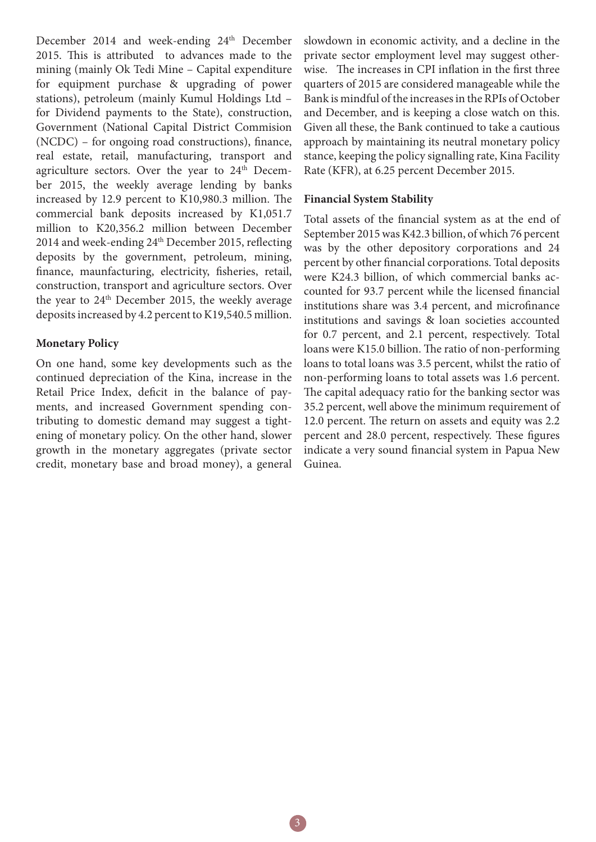December 2014 and week-ending 24<sup>th</sup> December 2015. This is attributed to advances made to the mining (mainly Ok Tedi Mine – Capital expenditure for equipment purchase & upgrading of power stations), petroleum (mainly Kumul Holdings Ltd – for Dividend payments to the State), construction, Government (National Capital District Commision (NCDC) – for ongoing road constructions), finance, real estate, retail, manufacturing, transport and agriculture sectors. Over the year to  $24<sup>th</sup>$  December 2015, the weekly average lending by banks increased by 12.9 percent to K10,980.3 million. The commercial bank deposits increased by K1,051.7 million to K20,356.2 million between December 2014 and week-ending 24<sup>th</sup> December 2015, reflecting deposits by the government, petroleum, mining, finance, maunfacturing, electricity, fisheries, retail, construction, transport and agriculture sectors. Over the year to 24<sup>th</sup> December 2015, the weekly average deposits increased by 4.2 percent to K19,540.5 million.

### **Monetary Policy**

On one hand, some key developments such as the continued depreciation of the Kina, increase in the Retail Price Index, deficit in the balance of payments, and increased Government spending contributing to domestic demand may suggest a tightening of monetary policy. On the other hand, slower growth in the monetary aggregates (private sector credit, monetary base and broad money), a general slowdown in economic activity, and a decline in the private sector employment level may suggest otherwise. The increases in CPI inflation in the first three quarters of 2015 are considered manageable while the Bank is mindful of the increases in the RPIs of October and December, and is keeping a close watch on this. Given all these, the Bank continued to take a cautious approach by maintaining its neutral monetary policy stance, keeping the policy signalling rate, Kina Facility Rate (KFR), at 6.25 percent December 2015.

#### **Financial System Stability**

Total assets of the financial system as at the end of September 2015 was K42.3 billion, of which 76 percent was by the other depository corporations and 24 percent by other financial corporations. Total deposits were K24.3 billion, of which commercial banks accounted for 93.7 percent while the licensed financial institutions share was 3.4 percent, and microfinance institutions and savings & loan societies accounted for 0.7 percent, and 2.1 percent, respectively. Total loans were K15.0 billion. The ratio of non-performing loans to total loans was 3.5 percent, whilst the ratio of non-performing loans to total assets was 1.6 percent. The capital adequacy ratio for the banking sector was 35.2 percent, well above the minimum requirement of 12.0 percent. The return on assets and equity was 2.2 percent and 28.0 percent, respectively. These figures indicate a very sound financial system in Papua New Guinea.